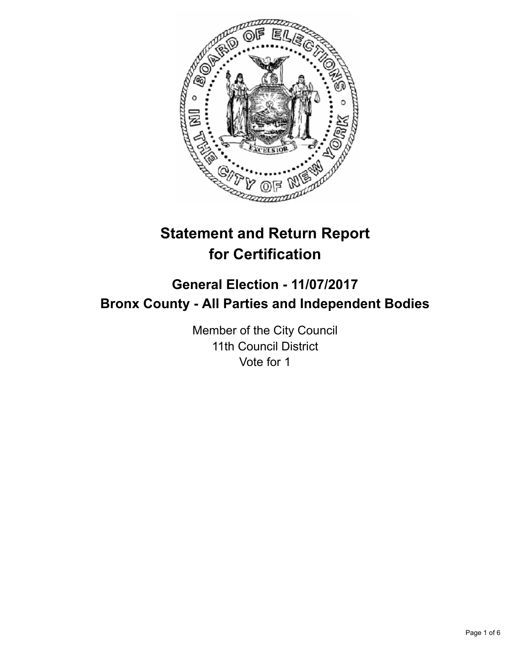

# **Statement and Return Report for Certification**

## **General Election - 11/07/2017 Bronx County - All Parties and Independent Bodies**

Member of the City Council 11th Council District Vote for 1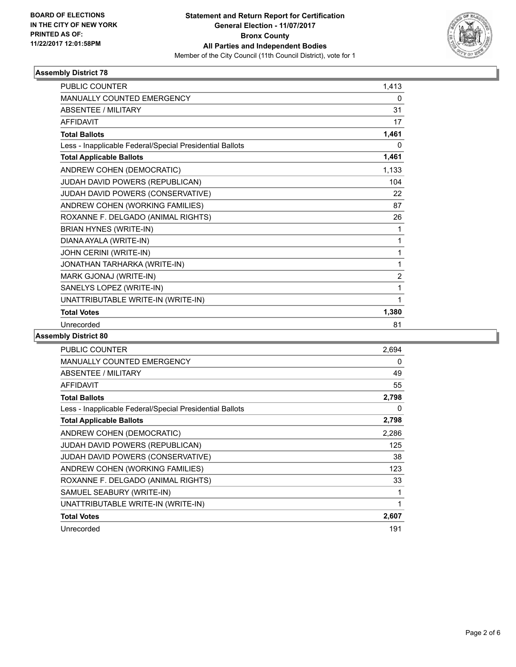

#### **Assembly District 78**

| <b>PUBLIC COUNTER</b>                                    | 1,413          |
|----------------------------------------------------------|----------------|
| <b>MANUALLY COUNTED EMERGENCY</b>                        | 0              |
| <b>ABSENTEE / MILITARY</b>                               | 31             |
| <b>AFFIDAVIT</b>                                         | 17             |
| <b>Total Ballots</b>                                     | 1,461          |
| Less - Inapplicable Federal/Special Presidential Ballots | 0              |
| <b>Total Applicable Ballots</b>                          | 1,461          |
| ANDREW COHEN (DEMOCRATIC)                                | 1,133          |
| JUDAH DAVID POWERS (REPUBLICAN)                          | 104            |
| JUDAH DAVID POWERS (CONSERVATIVE)                        | 22             |
| ANDREW COHEN (WORKING FAMILIES)                          | 87             |
| ROXANNE F. DELGADO (ANIMAL RIGHTS)                       | 26             |
| <b>BRIAN HYNES (WRITE-IN)</b>                            | 1              |
| DIANA AYALA (WRITE-IN)                                   | 1              |
| JOHN CERINI (WRITE-IN)                                   | 1              |
| JONATHAN TARHARKA (WRITE-IN)                             | 1              |
| MARK GJONAJ (WRITE-IN)                                   | $\overline{2}$ |
| SANELYS LOPEZ (WRITE-IN)                                 | 1              |
| UNATTRIBUTABLE WRITE-IN (WRITE-IN)                       | 1              |
| <b>Total Votes</b>                                       | 1,380          |
| Unrecorded                                               | 81             |

#### **Assembly District 80**

| <b>PUBLIC COUNTER</b>                                    | 2,694 |
|----------------------------------------------------------|-------|
| <b>MANUALLY COUNTED EMERGENCY</b>                        | 0     |
| ABSENTEE / MILITARY                                      | 49    |
| <b>AFFIDAVIT</b>                                         | 55    |
| <b>Total Ballots</b>                                     | 2,798 |
| Less - Inapplicable Federal/Special Presidential Ballots | 0     |
| <b>Total Applicable Ballots</b>                          | 2,798 |
| ANDREW COHEN (DEMOCRATIC)                                | 2,286 |
| <b>JUDAH DAVID POWERS (REPUBLICAN)</b>                   | 125   |
| JUDAH DAVID POWERS (CONSERVATIVE)                        | 38    |
| ANDREW COHEN (WORKING FAMILIES)                          | 123   |
| ROXANNE F. DELGADO (ANIMAL RIGHTS)                       | 33    |
| SAMUEL SEABURY (WRITE-IN)                                | 1     |
| UNATTRIBUTABLE WRITE-IN (WRITE-IN)                       | 1     |
| <b>Total Votes</b>                                       | 2,607 |
| Unrecorded                                               | 191   |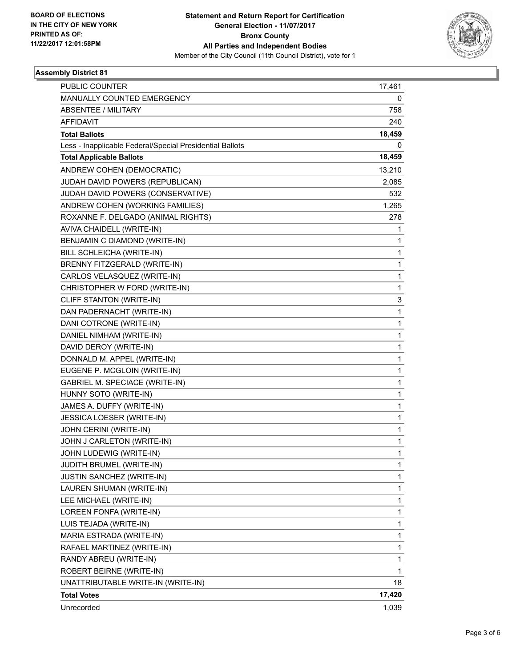

#### **Assembly District 81**

| <b>PUBLIC COUNTER</b>                                    | 17,461       |
|----------------------------------------------------------|--------------|
| MANUALLY COUNTED EMERGENCY                               | 0            |
| <b>ABSENTEE / MILITARY</b>                               | 758          |
| <b>AFFIDAVIT</b>                                         | 240          |
| <b>Total Ballots</b>                                     | 18,459       |
| Less - Inapplicable Federal/Special Presidential Ballots | 0            |
| <b>Total Applicable Ballots</b>                          | 18,459       |
| ANDREW COHEN (DEMOCRATIC)                                | 13,210       |
| JUDAH DAVID POWERS (REPUBLICAN)                          | 2,085        |
| JUDAH DAVID POWERS (CONSERVATIVE)                        | 532          |
| ANDREW COHEN (WORKING FAMILIES)                          | 1,265        |
| ROXANNE F. DELGADO (ANIMAL RIGHTS)                       | 278          |
| AVIVA CHAIDELL (WRITE-IN)                                | 1            |
| BENJAMIN C DIAMOND (WRITE-IN)                            | 1            |
| BILL SCHLEICHA (WRITE-IN)                                | 1            |
| BRENNY FITZGERALD (WRITE-IN)                             | 1            |
| CARLOS VELASQUEZ (WRITE-IN)                              | 1            |
| CHRISTOPHER W FORD (WRITE-IN)                            | 1            |
| CLIFF STANTON (WRITE-IN)                                 | 3            |
| DAN PADERNACHT (WRITE-IN)                                | $\mathbf{1}$ |
| DANI COTRONE (WRITE-IN)                                  | 1            |
| DANIEL NIMHAM (WRITE-IN)                                 | 1            |
| DAVID DEROY (WRITE-IN)                                   | 1            |
| DONNALD M. APPEL (WRITE-IN)                              | 1            |
| EUGENE P. MCGLOIN (WRITE-IN)                             | $\mathbf 1$  |
| <b>GABRIEL M. SPECIACE (WRITE-IN)</b>                    | 1            |
| HUNNY SOTO (WRITE-IN)                                    | 1            |
| JAMES A. DUFFY (WRITE-IN)                                | 1            |
| JESSICA LOESER (WRITE-IN)                                | 1            |
| JOHN CERINI (WRITE-IN)                                   | 1            |
| JOHN J CARLETON (WRITE-IN)                               | $\mathbf 1$  |
| JOHN LUDEWIG (WRITE-IN)                                  | 1            |
| JUDITH BRUMEL (WRITE-IN)                                 | 1            |
| JUSTIN SANCHEZ (WRITE-IN)                                | 1            |
| LAUREN SHUMAN (WRITE-IN)                                 | 1            |
| LEE MICHAEL (WRITE-IN)                                   | $\mathbf 1$  |
| LOREEN FONFA (WRITE-IN)                                  | $\mathbf 1$  |
| LUIS TEJADA (WRITE-IN)                                   | 1            |
| MARIA ESTRADA (WRITE-IN)                                 | 1            |
| RAFAEL MARTINEZ (WRITE-IN)                               | $\mathbf 1$  |
| RANDY ABREU (WRITE-IN)                                   | 1            |
| ROBERT BEIRNE (WRITE-IN)                                 | $\mathbf{1}$ |
| UNATTRIBUTABLE WRITE-IN (WRITE-IN)                       | 18           |
| <b>Total Votes</b>                                       | 17,420       |
| Unrecorded                                               | 1,039        |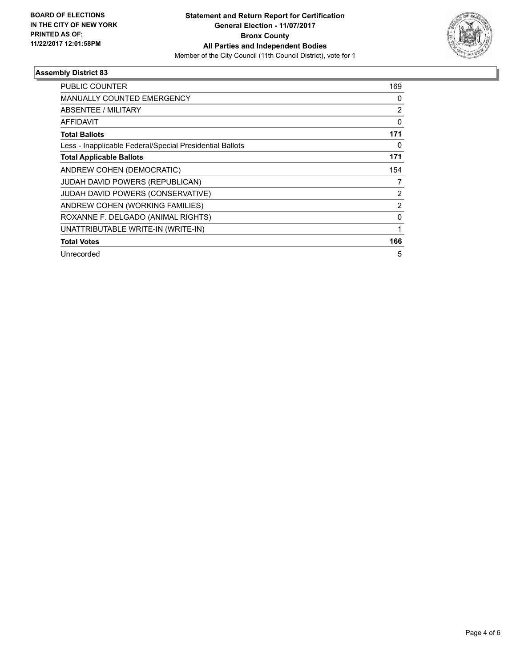

#### **Assembly District 83**

| PUBLIC COUNTER                                           | 169      |
|----------------------------------------------------------|----------|
| <b>MANUALLY COUNTED EMERGENCY</b>                        | 0        |
| ABSENTEE / MILITARY                                      | 2        |
| AFFIDAVIT                                                | 0        |
| <b>Total Ballots</b>                                     | 171      |
| Less - Inapplicable Federal/Special Presidential Ballots | 0        |
| <b>Total Applicable Ballots</b>                          | 171      |
| ANDREW COHEN (DEMOCRATIC)                                | 154      |
| <b>JUDAH DAVID POWERS (REPUBLICAN)</b>                   | 7        |
| JUDAH DAVID POWERS (CONSERVATIVE)                        | 2        |
| ANDREW COHEN (WORKING FAMILIES)                          | 2        |
| ROXANNE F. DELGADO (ANIMAL RIGHTS)                       | $\Omega$ |
| UNATTRIBUTABLE WRITE-IN (WRITE-IN)                       |          |
| <b>Total Votes</b>                                       | 166      |
| Unrecorded                                               | 5        |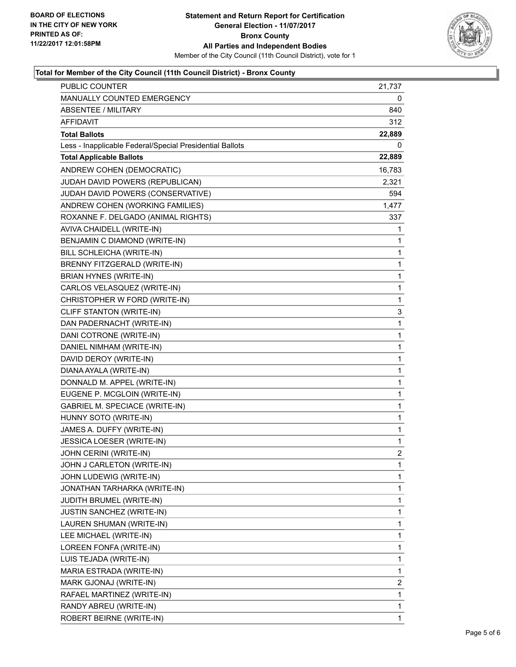

### **Total for Member of the City Council (11th Council District) - Bronx County**

| PUBLIC COUNTER                                           | 21,737         |
|----------------------------------------------------------|----------------|
| MANUALLY COUNTED EMERGENCY                               | 0              |
| ABSENTEE / MILITARY                                      | 840            |
| <b>AFFIDAVIT</b>                                         | 312            |
| <b>Total Ballots</b>                                     | 22,889         |
| Less - Inapplicable Federal/Special Presidential Ballots | 0              |
| <b>Total Applicable Ballots</b>                          | 22,889         |
| ANDREW COHEN (DEMOCRATIC)                                | 16,783         |
| JUDAH DAVID POWERS (REPUBLICAN)                          | 2,321          |
| JUDAH DAVID POWERS (CONSERVATIVE)                        | 594            |
| ANDREW COHEN (WORKING FAMILIES)                          | 1,477          |
| ROXANNE F. DELGADO (ANIMAL RIGHTS)                       | 337            |
| AVIVA CHAIDELL (WRITE-IN)                                | 1              |
| BENJAMIN C DIAMOND (WRITE-IN)                            | 1              |
| BILL SCHLEICHA (WRITE-IN)                                | 1              |
| BRENNY FITZGERALD (WRITE-IN)                             | 1              |
| <b>BRIAN HYNES (WRITE-IN)</b>                            | 1              |
| CARLOS VELASQUEZ (WRITE-IN)                              | 1              |
| CHRISTOPHER W FORD (WRITE-IN)                            | 1              |
| CLIFF STANTON (WRITE-IN)                                 | 3              |
| DAN PADERNACHT (WRITE-IN)                                | 1              |
| DANI COTRONE (WRITE-IN)                                  | 1              |
| DANIEL NIMHAM (WRITE-IN)                                 | 1              |
| DAVID DEROY (WRITE-IN)                                   | 1              |
| DIANA AYALA (WRITE-IN)                                   | 1              |
| DONNALD M. APPEL (WRITE-IN)                              | $\mathbf{1}$   |
| EUGENE P. MCGLOIN (WRITE-IN)                             | 1              |
| <b>GABRIEL M. SPECIACE (WRITE-IN)</b>                    | 1              |
| HUNNY SOTO (WRITE-IN)                                    | 1              |
| JAMES A. DUFFY (WRITE-IN)                                | 1              |
| JESSICA LOESER (WRITE-IN)                                | 1              |
| JOHN CERINI (WRITE-IN)                                   | $\overline{2}$ |
| JOHN J CARLETON (WRITE-IN)                               | 1              |
| JOHN LUDEWIG (WRITE-IN)                                  | 1              |
| JONATHAN TARHARKA (WRITE-IN)                             | 1              |
| <b>JUDITH BRUMEL (WRITE-IN)</b>                          | 1              |
| <b>JUSTIN SANCHEZ (WRITE-IN)</b>                         | 1              |
| LAUREN SHUMAN (WRITE-IN)                                 | 1              |
| LEE MICHAEL (WRITE-IN)                                   | 1              |
| LOREEN FONFA (WRITE-IN)                                  | 1              |
| LUIS TEJADA (WRITE-IN)                                   | 1              |
| MARIA ESTRADA (WRITE-IN)                                 | 1              |
| MARK GJONAJ (WRITE-IN)                                   | 2              |
| RAFAEL MARTINEZ (WRITE-IN)                               | 1              |
| RANDY ABREU (WRITE-IN)                                   | 1              |
| ROBERT BEIRNE (WRITE-IN)                                 | 1              |